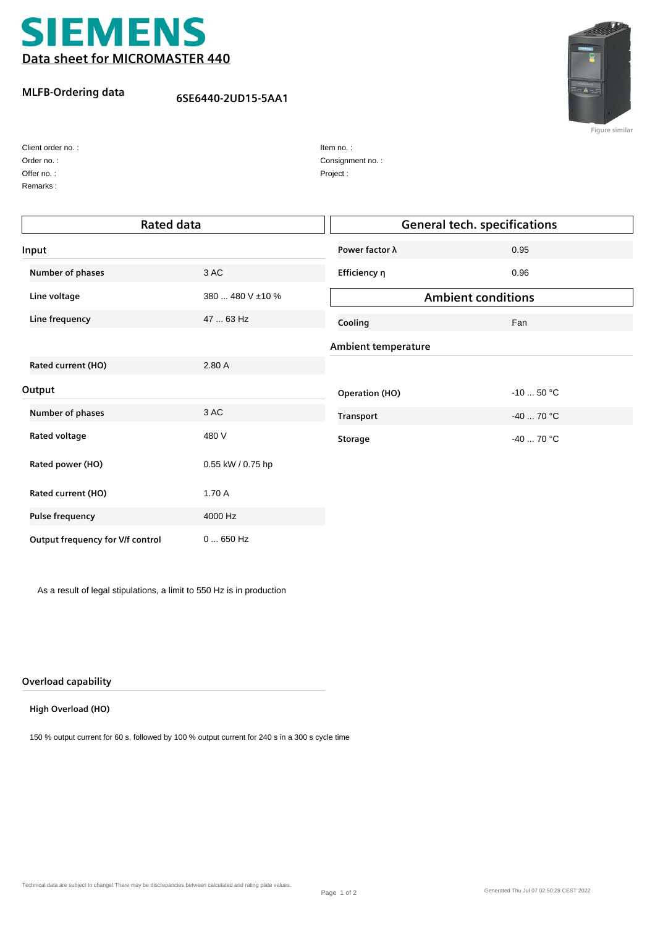

### **MLFB-Ordering data**

# **6SE6440-2UD15-5AA1**



**Figure similar**

| Client order no.: |
|-------------------|
| Order no.:        |
| Offer no.:        |

Remarks :

| Item no.:        |
|------------------|
| Consignment no.: |
| Project:         |

| <b>Rated data</b>                |                   | <b>General tech. specifications</b> |             |
|----------------------------------|-------------------|-------------------------------------|-------------|
| Input                            |                   | Power factor λ                      | 0.95        |
| Number of phases                 | 3 AC              | Efficiency η                        | 0.96        |
| Line voltage                     | 380  480 V ±10 %  | <b>Ambient conditions</b>           |             |
| Line frequency                   | 47  63 Hz         | Cooling                             | Fan         |
|                                  |                   | <b>Ambient temperature</b>          |             |
| Rated current (HO)               | 2.80A             |                                     |             |
| Output                           |                   | <b>Operation (HO)</b>               | $-10$ 50 °C |
| Number of phases                 | 3 AC              | <b>Transport</b>                    | $-4070 °C$  |
| Rated voltage                    | 480 V             | <b>Storage</b>                      | $-40$ 70 °C |
| Rated power (HO)                 | 0.55 kW / 0.75 hp |                                     |             |
| Rated current (HO)               | 1.70 A            |                                     |             |
| <b>Pulse frequency</b>           | 4000 Hz           |                                     |             |
| Output frequency for V/f control | $0650$ Hz         |                                     |             |

As a result of legal stipulations, a limit to 550 Hz is in production

#### **Overload capability**

#### **High Overload (HO)**

150 % output current for 60 s, followed by 100 % output current for 240 s in a 300 s cycle time